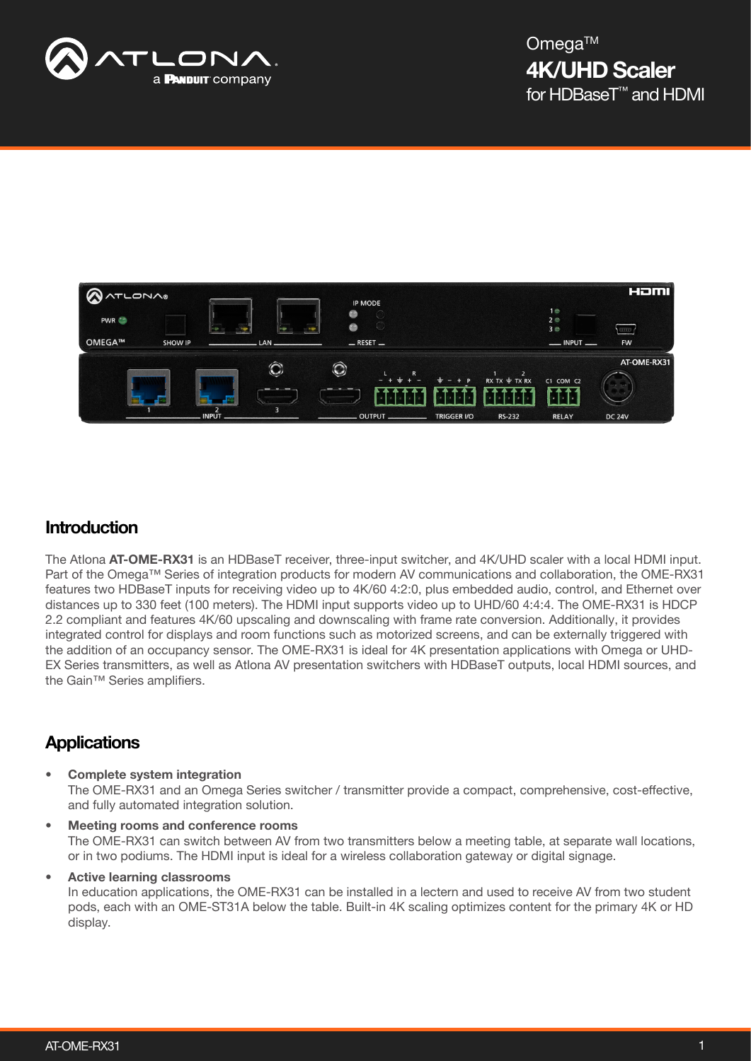



## **Introduction**

The Atlona AT-OME-RX31 is an HDBaseT receiver, three-input switcher, and 4K/UHD scaler with a local HDMI input. Part of the Omega™ Series of integration products for modern AV communications and collaboration, the OME-RX31 features two HDBaseT inputs for receiving video up to 4K/60 4:2:0, plus embedded audio, control, and Ethernet over distances up to 330 feet (100 meters). The HDMI input supports video up to UHD/60 4:4:4. The OME-RX31 is HDCP 2.2 compliant and features 4K/60 upscaling and downscaling with frame rate conversion. Additionally, it provides integrated control for displays and room functions such as motorized screens, and can be externally triggered with the addition of an occupancy sensor. The OME-RX31 is ideal for 4K presentation applications with Omega or UHD-EX Series transmitters, as well as Atlona AV presentation switchers with HDBaseT outputs, local HDMI sources, and the Gain™ Series amplifiers.

# **Applications**

- Complete system integration The OME-RX31 and an Omega Series switcher / transmitter provide a compact, comprehensive, cost-effective, and fully automated integration solution.
- Meeting rooms and conference rooms The OME-RX31 can switch between AV from two transmitters below a meeting table, at separate wall locations, or in two podiums. The HDMI input is ideal for a wireless collaboration gateway or digital signage.

• Active learning classrooms

In education applications, the OME-RX31 can be installed in a lectern and used to receive AV from two student pods, each with an OME-ST31A below the table. Built-in 4K scaling optimizes content for the primary 4K or HD display.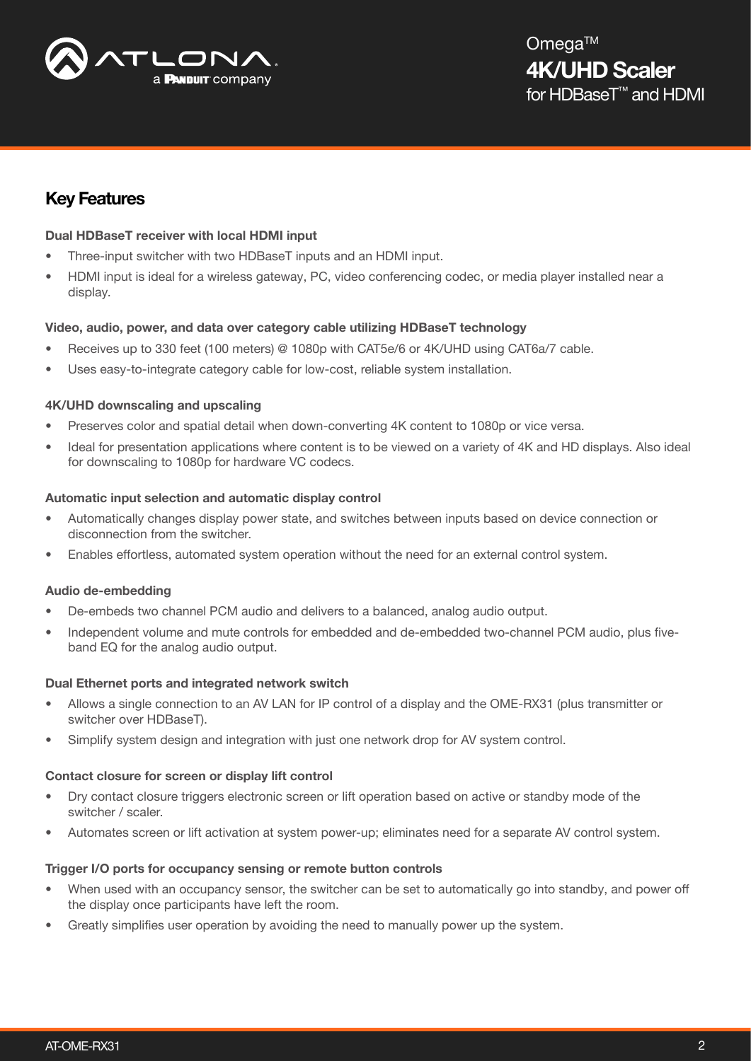

# Key Features

## Dual HDBaseT receiver with local HDMI input

- Three-input switcher with two HDBaseT inputs and an HDMI input.
- HDMI input is ideal for a wireless gateway, PC, video conferencing codec, or media player installed near a display.

## Video, audio, power, and data over category cable utilizing HDBaseT technology

- Receives up to 330 feet (100 meters) @ 1080p with CAT5e/6 or 4K/UHD using CAT6a/7 cable.
- Uses easy-to-integrate category cable for low-cost, reliable system installation.

## 4K/UHD downscaling and upscaling

- Preserves color and spatial detail when down-converting 4K content to 1080p or vice versa.
- Ideal for presentation applications where content is to be viewed on a variety of 4K and HD displays. Also ideal for downscaling to 1080p for hardware VC codecs.

## Automatic input selection and automatic display control

- Automatically changes display power state, and switches between inputs based on device connection or disconnection from the switcher.
- Enables effortless, automated system operation without the need for an external control system.

## Audio de-embedding

- De-embeds two channel PCM audio and delivers to a balanced, analog audio output.
- Independent volume and mute controls for embedded and de-embedded two-channel PCM audio, plus fiveband EQ for the analog audio output.

## Dual Ethernet ports and integrated network switch

- Allows a single connection to an AV LAN for IP control of a display and the OME-RX31 (plus transmitter or switcher over HDBaseT).
- Simplify system design and integration with just one network drop for AV system control.

#### Contact closure for screen or display lift control

- Dry contact closure triggers electronic screen or lift operation based on active or standby mode of the switcher / scaler.
- Automates screen or lift activation at system power-up; eliminates need for a separate AV control system.

## Trigger I/O ports for occupancy sensing or remote button controls

- When used with an occupancy sensor, the switcher can be set to automatically go into standby, and power off the display once participants have left the room.
- Greatly simplifies user operation by avoiding the need to manually power up the system.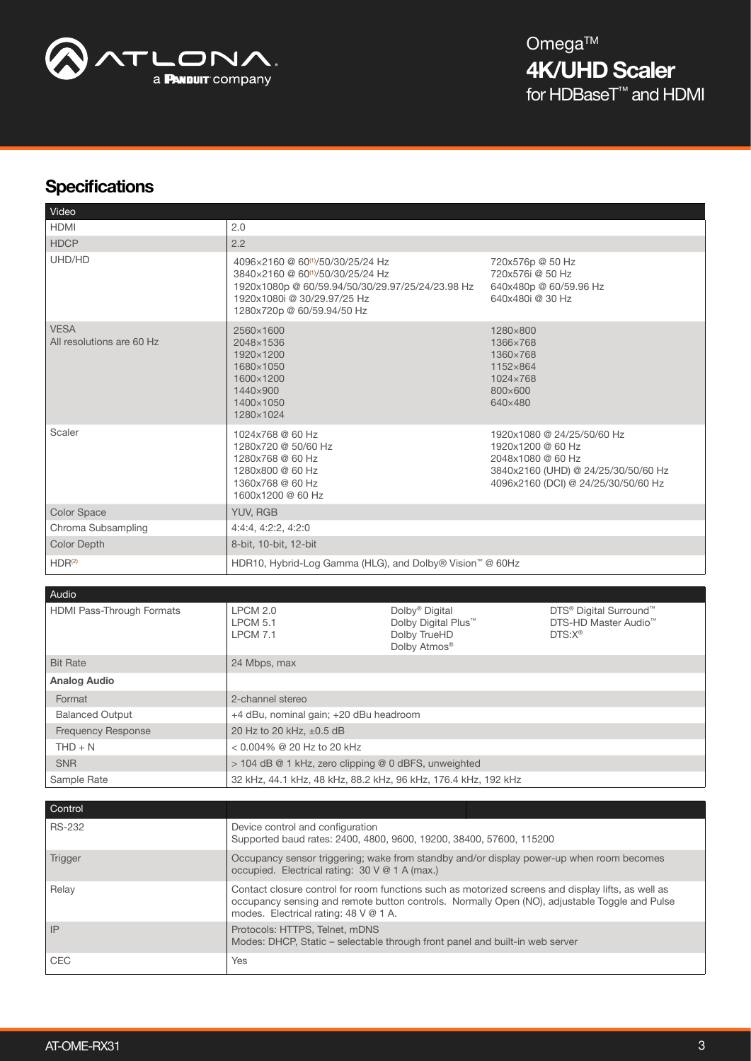

# **Specifications**

| Video                                    |                                                                                                                                                                                                                 |                                                               |                                                                                                                                                    |
|------------------------------------------|-----------------------------------------------------------------------------------------------------------------------------------------------------------------------------------------------------------------|---------------------------------------------------------------|----------------------------------------------------------------------------------------------------------------------------------------------------|
| <b>HDMI</b>                              | 2.0                                                                                                                                                                                                             |                                                               |                                                                                                                                                    |
| <b>HDCP</b>                              | 2.2                                                                                                                                                                                                             |                                                               |                                                                                                                                                    |
| UHD/HD                                   | 4096×2160 @ 60 <sup>(1)</sup> /50/30/25/24 Hz<br>3840×2160 @ 60 <sup>(1)</sup> /50/30/25/24 Hz<br>1920x1080p @ 60/59.94/50/30/29.97/25/24/23.98 Hz<br>1920x1080i @ 30/29.97/25 Hz<br>1280x720p @ 60/59.94/50 Hz |                                                               | 720x576p @ 50 Hz<br>720x576i @ 50 Hz<br>640x480p @ 60/59.96 Hz<br>640x480i @ 30 Hz                                                                 |
| <b>VESA</b><br>All resolutions are 60 Hz | 2560×1600<br>2048×1536<br>1920×1200<br>1680×1050<br>1600×1200<br>1440×900<br>1400×1050<br>1280×1024                                                                                                             |                                                               | 1280×800<br>1366×768<br>1360×768<br>1152×864<br>1024×768<br>800×600<br>640×480                                                                     |
| Scaler                                   | 1024x768 @ 60 Hz<br>1280x720 @ 50/60 Hz<br>1280x768 @ 60 Hz<br>1280x800 @ 60 Hz<br>1360x768 @ 60 Hz<br>1600x1200 @ 60 Hz                                                                                        |                                                               | 1920x1080 @ 24/25/50/60 Hz<br>1920x1200 @ 60 Hz<br>2048x1080 @ 60 Hz<br>3840x2160 (UHD) @ 24/25/30/50/60 Hz<br>4096x2160 (DCI) @ 24/25/30/50/60 Hz |
| <b>Color Space</b>                       | YUV, RGB                                                                                                                                                                                                        |                                                               |                                                                                                                                                    |
| Chroma Subsampling                       | 4:4:4, 4:2:2, 4:2:0                                                                                                                                                                                             |                                                               |                                                                                                                                                    |
| <b>Color Depth</b>                       | 8-bit, 10-bit, 12-bit                                                                                                                                                                                           |                                                               |                                                                                                                                                    |
| HDR <sup>(2)</sup>                       | HDR10, Hybrid-Log Gamma (HLG), and Dolby® Vision™ @ 60Hz                                                                                                                                                        |                                                               |                                                                                                                                                    |
| Audio                                    |                                                                                                                                                                                                                 |                                                               |                                                                                                                                                    |
| HDMI Pass-Through Formats                | LPCM 2.0<br><b>LPCM 5.1</b>                                                                                                                                                                                     | Dolby <sup>®</sup> Digital<br>Dolby Digital Plus <sup>™</sup> | DTS <sup>®</sup> Digital Surround <sup>™</sup><br>DTS-HD Master Audio™                                                                             |

|                           | <b>LPCM 5.1</b><br><b>LPCM 7.1</b>                             | Dolby Digital Plus <sup>™</sup><br>Dolby TrueHD<br>Dolby Atmos <sup>®</sup> | DTS-HD Master Audio™<br>$DTS: X^{\circledcirc}$ |
|---------------------------|----------------------------------------------------------------|-----------------------------------------------------------------------------|-------------------------------------------------|
| <b>Bit Rate</b>           | 24 Mbps, max                                                   |                                                                             |                                                 |
| <b>Analog Audio</b>       |                                                                |                                                                             |                                                 |
| Format                    | 2-channel stereo                                               |                                                                             |                                                 |
| <b>Balanced Output</b>    | +4 dBu, nominal gain; +20 dBu headroom                         |                                                                             |                                                 |
| <b>Frequency Response</b> | 20 Hz to 20 kHz, ±0.5 dB                                       |                                                                             |                                                 |
| $THD + N$                 | $< 0.004\%$ @ 20 Hz to 20 kHz                                  |                                                                             |                                                 |
| <b>SNR</b>                | $>$ 104 dB @ 1 kHz, zero clipping @ 0 dBFS, unweighted         |                                                                             |                                                 |
| Sample Rate               | 32 kHz, 44.1 kHz, 48 kHz, 88.2 kHz, 96 kHz, 176.4 kHz, 192 kHz |                                                                             |                                                 |

| Control       |                                                                                                                                                                                                                                              |  |
|---------------|----------------------------------------------------------------------------------------------------------------------------------------------------------------------------------------------------------------------------------------------|--|
| <b>RS-232</b> | Device control and configuration<br>Supported baud rates: 2400, 4800, 9600, 19200, 38400, 57600, 115200                                                                                                                                      |  |
| Trigger       | Occupancy sensor triggering; wake from standby and/or display power-up when room becomes<br>occupied. Electrical rating: 30 V @ 1 A (max.)                                                                                                   |  |
| Relay         | Contact closure control for room functions such as motorized screens and display lifts, as well as<br>occupancy sensing and remote button controls. Normally Open (NO), adjustable Toggle and Pulse<br>modes. Electrical rating: 48 V @ 1 A. |  |
| IP            | Protocols: HTTPS, Telnet, mDNS<br>Modes: DHCP, Static – selectable through front panel and built-in web server                                                                                                                               |  |
| <b>CEC</b>    | <b>Yes</b>                                                                                                                                                                                                                                   |  |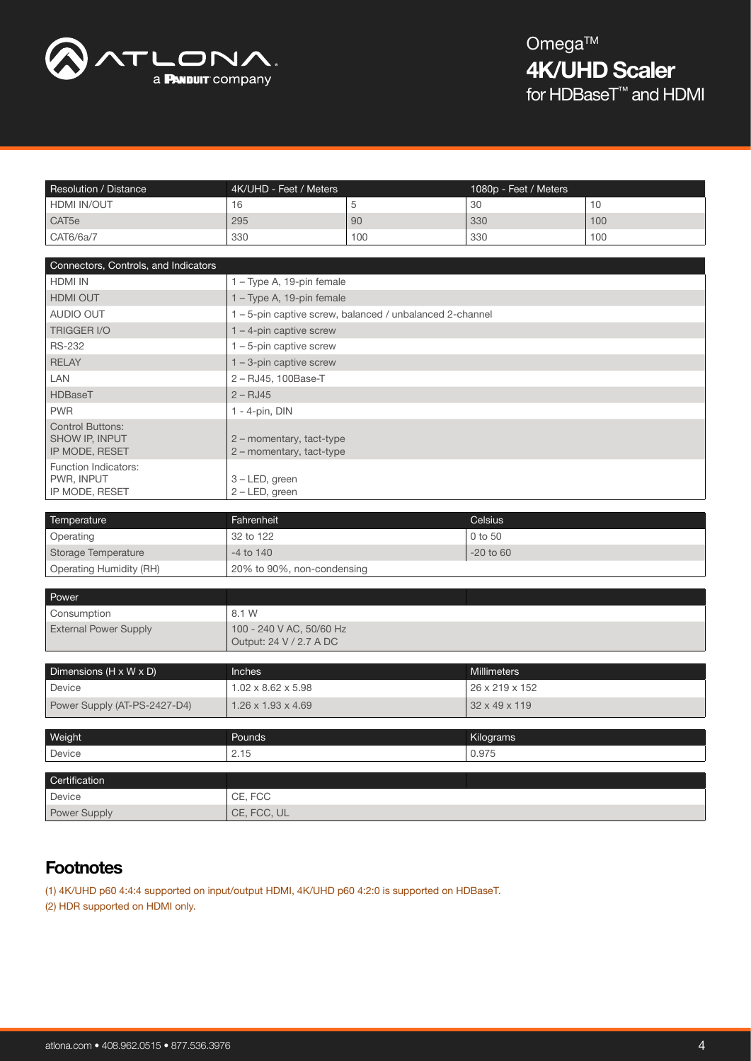

| Resolution / Distance | 4K/UHD - Feet / Meters |     | 1080p - Feet / Meters |     |
|-----------------------|------------------------|-----|-----------------------|-----|
| HDMI IN/OUT           | ◡                      |     | 30                    |     |
| CAT <sub>5e</sub>     | 295                    | 90  | 330                   | 100 |
| CAT6/6a/7             | 330                    | 100 | 330                   | 100 |

| Connectors, Controls, and Indicators                               |                                                          |  |  |
|--------------------------------------------------------------------|----------------------------------------------------------|--|--|
| <b>HDMI IN</b>                                                     | 1 - Type A, 19-pin female                                |  |  |
| <b>HDMI OUT</b>                                                    | 1 – Type A, 19-pin female                                |  |  |
| AUDIO OUT                                                          | 1 - 5-pin captive screw, balanced / unbalanced 2-channel |  |  |
| <b>TRIGGER I/O</b>                                                 | $1 - 4$ -pin captive screw                               |  |  |
| <b>RS-232</b>                                                      | $1 - 5$ -pin captive screw                               |  |  |
| RELAY                                                              | $1 - 3$ -pin captive screw                               |  |  |
| <b>LAN</b>                                                         | 2 - RJ45, 100Base-T                                      |  |  |
| HDBaseT                                                            | $2 - RJ45$                                               |  |  |
| <b>PWR</b>                                                         | $1 - 4$ -pin, DIN                                        |  |  |
| <b>Control Buttons:</b><br><b>SHOW IP, INPUT</b><br>IP MODE, RESET | 2 - momentary, tact-type<br>2 - momentary, tact-type     |  |  |
| Function Indicators:<br>PWR, INPUT<br>IP MODE, RESET               | 3 - LED, green<br>$2 - LED$ , green                      |  |  |

| Temperature             | Fahrenheit                 | <b>Celsius</b> |
|-------------------------|----------------------------|----------------|
| Operating               | 32 to 122                  | $0$ to 50      |
| Storage Temperature     | $-4$ to $140$              | $-20$ to 60    |
| Operating Humidity (RH) | 20% to 90%, non-condensing |                |

| Power                        |                                                     |  |
|------------------------------|-----------------------------------------------------|--|
| Consumption                  | 8.1 W                                               |  |
| <b>External Power Supply</b> | 100 - 240 V AC, 50/60 Hz<br>Output: 24 V / 2.7 A DC |  |

| Dimensions ( $H \times W \times D$ ) | <b>Inches</b>                  | <b>Millimeters</b> |
|--------------------------------------|--------------------------------|--------------------|
| Device                               | $1.02 \times 8.62 \times 5.98$ | 26 x 219 x 152     |
| Power Supply (AT-PS-2427-D4)         | $1.26 \times 1.93 \times 4.69$ | 32 x 49 x 119      |
|                                      |                                |                    |
| Weight                               | Pounds                         | Kilograms          |
| Device                               | 2.15                           | 0.975              |
|                                      |                                |                    |
| Certification                        |                                |                    |
| Device                               | CE, FCC                        |                    |
| Power Supply                         | CE, FCC, UL                    |                    |

# **Footnotes**

(1) 4K/UHD p60 4:4:4 supported on input/output HDMI, 4K/UHD p60 4:2:0 is supported on HDBaseT. (2) HDR supported on HDMI only.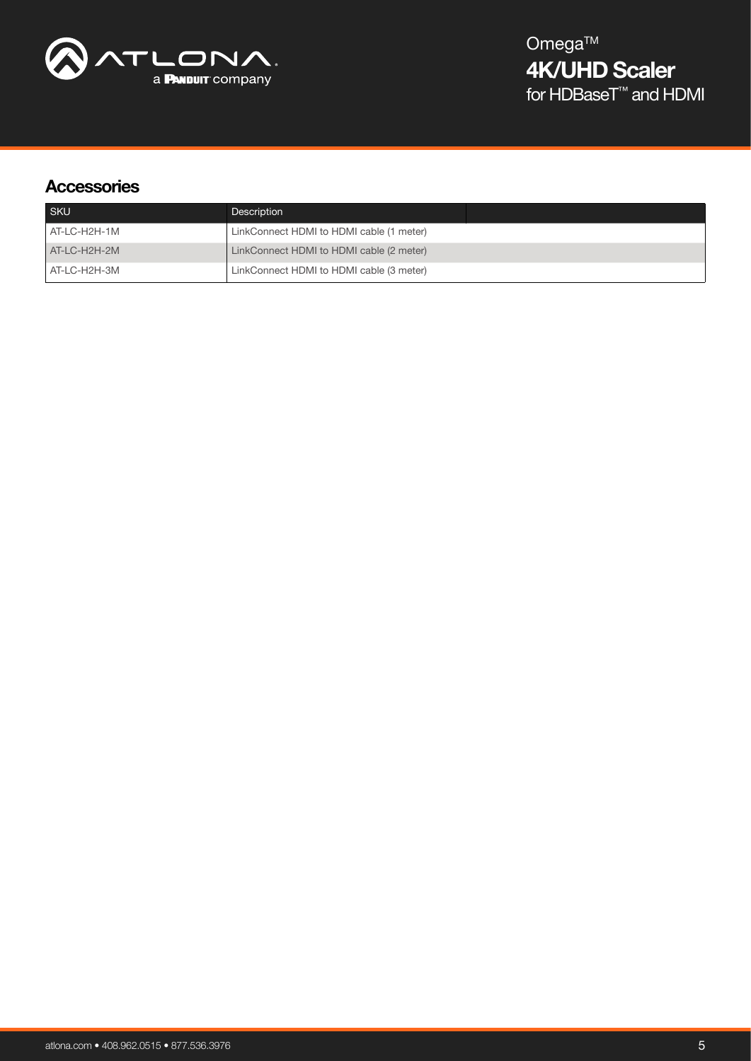

# **Accessories**

| <b>SKU</b>   | Description                              |  |
|--------------|------------------------------------------|--|
| AT-LC-H2H-1M | LinkConnect HDMI to HDMI cable (1 meter) |  |
| AT-LC-H2H-2M | LinkConnect HDMI to HDMI cable (2 meter) |  |
| AT-LC-H2H-3M | LinkConnect HDMI to HDMI cable (3 meter) |  |